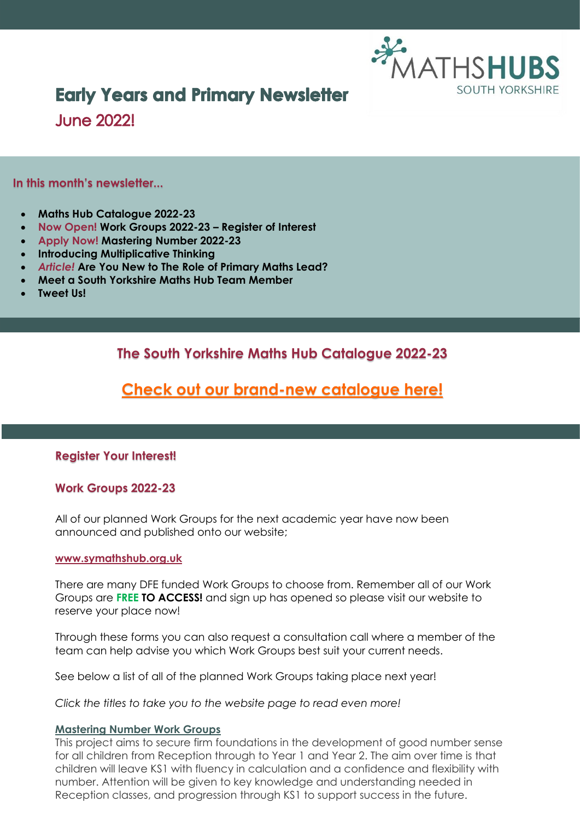

## **Early Years and Primary Newsletter**

**June 2022!** 

#### **In this month's newsletter...**

- **Maths Hub Catalogue 2022-23**
- **Now Open! Work Groups 2022-23 – Register of Interest**
- **Apply Now! Mastering Number 2022-23**
- **Introducing Multiplicative Thinking**
- *Article!* **Are You New to The Role of Primary Maths Lead?**
- **Meet a South Yorkshire Maths Hub Team Member**
- **Tweet Us!**

**The South Yorkshire Maths Hub Catalogue 2022-23**

### **[Check out our brand-new catalogue here!](https://www.symathshub.org.uk/_files/ugd/468d92_0df0759f6767463e971169d7ea199db9.pdf)**

#### **Register Your Interest!**

#### **Work Groups 2022-23**

All of our planned Work Groups for the next academic year have now been announced and published onto our website;

#### **[www.symathshub.org.uk](http://www.symathshub.org.uk/)**

There are many DFE funded Work Groups to choose from. Remember all of our Work Groups are **FREE TO ACCESS!** and sign up has opened so please visit our website to reserve your place now!

Through these forms you can also request a consultation call where a member of the team can help advise you which Work Groups best suit your current needs.

See below a list of all of the planned Work Groups taking place next year!

*Click the titles to take you to the website page to read even more!*

#### **[Mastering Number Work Groups](https://www.symathshub.org.uk/mastering-number)**

This project aims to secure firm foundations in the development of good number sense for all children from Reception through to Year 1 and Year 2. The aim over time is that children will leave KS1 with fluency in calculation and a confidence and flexibility with number. Attention will be given to key knowledge and understanding needed in Reception classes, and progression through KS1 to support success in the future.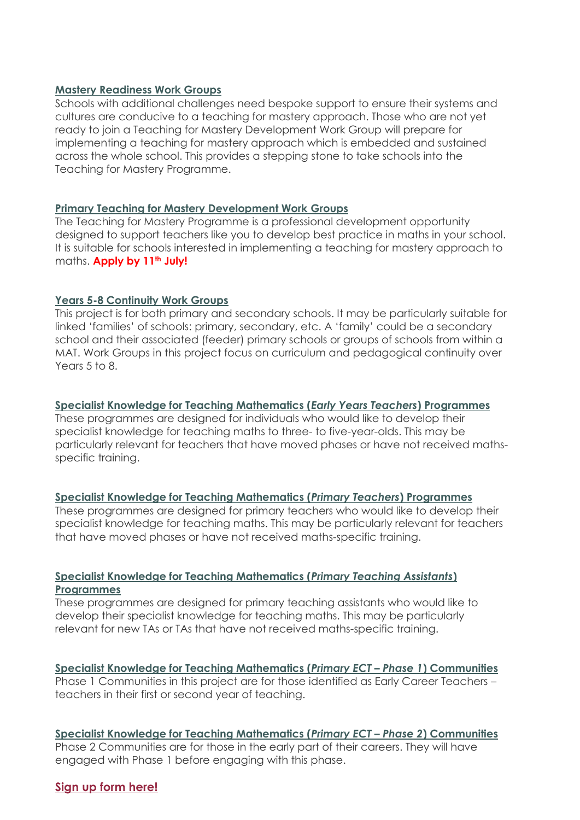#### **[Mastery Readiness Work Groups](https://www.symathshub.org.uk/mastery-readiness)**

Schools with additional challenges need bespoke support to ensure their systems and cultures are conducive to a teaching for mastery approach. Those who are not yet ready to join a Teaching for Mastery Development Work Group will prepare for implementing a teaching for mastery approach which is embedded and sustained across the whole school. This provides a stepping stone to take schools into the Teaching for Mastery Programme.

#### **[Primary Teaching for Mastery Development Work](https://www.symathshub.org.uk/primary-mastery) Groups**

The Teaching for Mastery Programme is a professional development opportunity designed to support teachers like you to develop best practice in maths in your school. It is suitable for schools interested in implementing a teaching for mastery approach to maths. **Apply by 11th July!**

#### **[Years 5-8 Continuity Work Groups](https://www.symathshub.org.uk/y5-8-continuity)**

This project is for both primary and secondary schools. It may be particularly suitable for linked 'families' of schools: primary, secondary, etc. A 'family' could be a secondary school and their associated (feeder) primary schools or groups of schools from within a MAT. Work Groups in this project focus on curriculum and pedagogical continuity over Years 5 to 8.

#### **[Specialist Knowledge for Teaching Mathematics \(](https://www.symathshub.org.uk/sktm-early-years)***Early Years Teachers***) Programmes**

These programmes are designed for individuals who would like to develop their specialist knowledge for teaching maths to three- to five-year-olds. This may be particularly relevant for teachers that have moved phases or have not received mathsspecific training.

#### **[Specialist Knowledge for Teaching Mathematics \(](https://www.symathshub.org.uk/sktm-primary-teacher)***Primary Teachers***) Programmes**

These programmes are designed for primary teachers who would like to develop their specialist knowledge for teaching maths. This may be particularly relevant for teachers that have moved phases or have not received maths-specific training.

#### **[Specialist Knowledge for Teaching Mathematics \(](https://www.symathshub.org.uk/sktm-ta)***Primary Teaching Assistants***) [Programmes](https://www.symathshub.org.uk/sktm-ta)**

These programmes are designed for primary teaching assistants who would like to develop their specialist knowledge for teaching maths. This may be particularly relevant for new TAs or TAs that have not received maths-specific training.

**[Specialist Knowledge for Teaching Mathematics \(](https://www.symathshub.org.uk/sktm-primary-early-career)***Primary ECT – Phase 1***) Communities** Phase 1 Communities in this project are for those identified as Early Career Teachers – teachers in their first or second year of teaching.

**[Specialist Knowledge for Teaching Mathematics \(](https://www.symathshub.org.uk/sktm-primary-early-career)***Primary ECT – Phase 2***) Communities** Phase 2 Communities are for those in the early part of their careers. They will have engaged with Phase 1 before engaging with this phase.

#### **[Sign up form here!](https://forms.office.com/pages/responsepage.aspx?id=_wkSLwqH302C0u3FNSl0VvexkrLYJAlPgH0b4nkUcRJUQjdMRjU0NDg4V09VV0JCODBDMjg2TUE2TC4u)**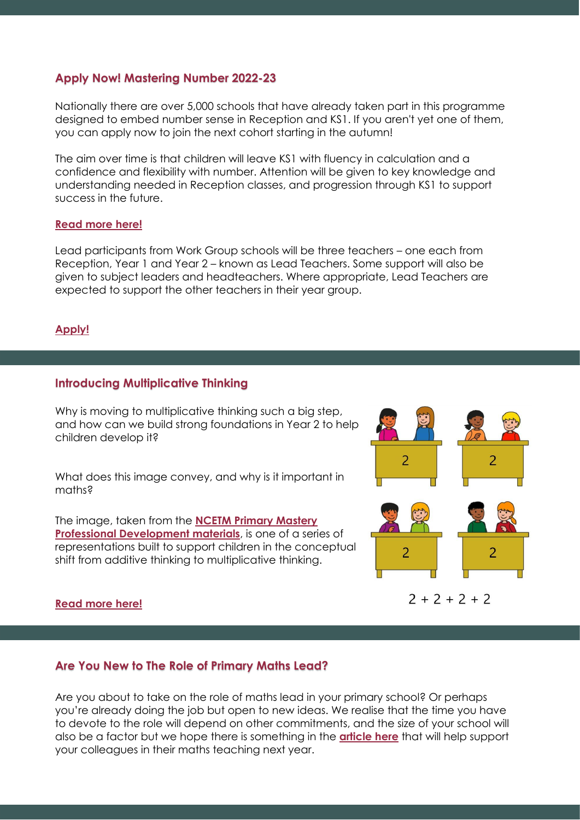#### **Apply Now! Mastering Number 2022-23**

Nationally there are over 5,000 schools that have already taken part in this programme designed to embed number sense in Reception and KS1. If you aren't yet one of them, you can apply now to join the next cohort starting in the autumn!

The aim over time is that children will leave KS1 with fluency in calculation and a confidence and flexibility with number. Attention will be given to key knowledge and understanding needed in Reception classes, and progression through KS1 to support success in the future.

#### **[Read more here!](https://www.ncetm.org.uk/maths-hubs-projects/mastering-number/?utm_source=NCETM+Newsletters&utm_campaign=791c94e63b-primary-round-up-may-2022&utm_medium=email&utm_term=0_13f8d631f4-791c94e63b-228715877)**

Lead participants from Work Group schools will be three teachers – one each from Reception, Year 1 and Year 2 – known as Lead Teachers. Some support will also be given to subject leaders and headteachers. Where appropriate, Lead Teachers are expected to support the other teachers in their year group.

#### **[Apply!](https://forms.office.com/Pages/ResponsePage.aspx?id=_wkSLwqH302C0u3FNSl0VvexkrLYJAlPgH0b4nkUcRJUNlQwVlFJWFdUWk5YSTBLN1pZT1hFNlpaMS4u)**

#### **Introducing Multiplicative Thinking**

Why is moving to multiplicative thinking such a big step, and how can we build strong foundations in Year 2 to help children develop it?

What does this image convey, and why is it important in maths?

The image, taken from the **[NCETM Primary Mastery](https://www.ncetm.org.uk/teaching-for-mastery/mastery-materials/primary-mastery-professional-development/)  [Professional Development materials](https://www.ncetm.org.uk/teaching-for-mastery/mastery-materials/primary-mastery-professional-development/)**, is one of a series of representations built to support children in the conceptual shift from additive thinking to multiplicative thinking.

# 2 2  $\overline{2}$ 2  $2 + 2 + 2 + 2$

#### **[Read more here!](https://www.ncetm.org.uk/features/introducing-multiplicative-thinking/?utm_source=NCETM+Newsletters&utm_campaign=791c94e63b-primary-round-up-may-2022&utm_medium=email&utm_term=0_13f8d631f4-791c94e63b-228715877)**

#### **Are You New to The Role of Primary Maths Lead?**

Are you about to take on the role of maths lead in your primary school? Or perhaps you're already doing the job but open to new ideas. We realise that the time you have to devote to the role will depend on other commitments, and the size of your school will also be a factor but we hope there is something in the **[article](https://www.ncetm.org.uk/features/taking-on-the-role-of-maths-lead-in-a-primary-school/) here** that will help support your colleagues in their maths teaching next year.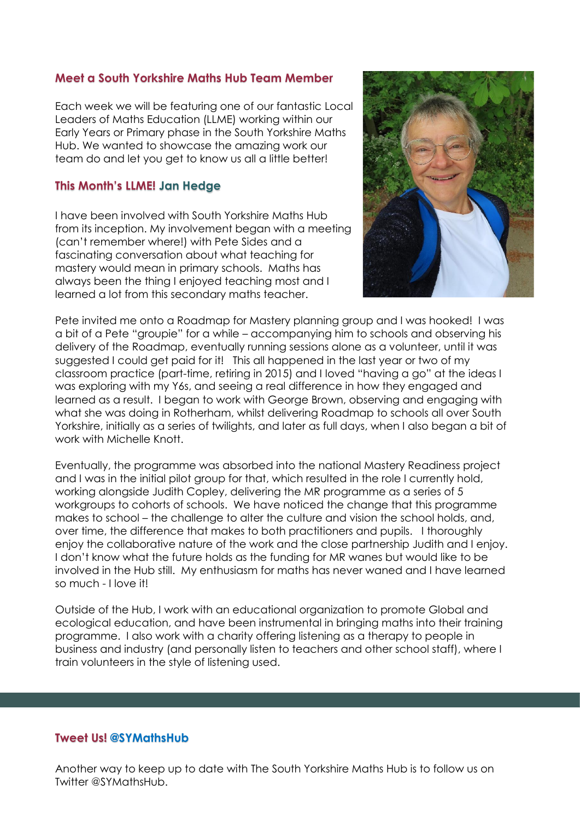#### **Meet a South Yorkshire Maths Hub Team Member**

Each week we will be featuring one of our fantastic Local Leaders of Maths Education (LLME) working within our Early Years or Primary phase in the South Yorkshire Maths Hub. We wanted to showcase the amazing work our team do and let you get to know us all a little better!

#### **This Month's LLME! Jan Hedge**

I have been involved with South Yorkshire Maths Hub from its inception. My involvement began with a meeting (can't remember where!) with Pete Sides and a fascinating conversation about what teaching for mastery would mean in primary schools. Maths has always been the thing I enjoyed teaching most and I learned a lot from this secondary maths teacher.



Pete invited me onto a Roadmap for Mastery planning group and I was hooked! I was a bit of a Pete "groupie" for a while – accompanying him to schools and observing his delivery of the Roadmap, eventually running sessions alone as a volunteer, until it was suggested I could get paid for it! This all happened in the last year or two of my classroom practice (part-time, retiring in 2015) and I loved "having a go" at the ideas I was exploring with my Y6s, and seeing a real difference in how they engaged and learned as a result. I began to work with George Brown, observing and engaging with what she was doing in Rotherham, whilst delivering Roadmap to schools all over South Yorkshire, initially as a series of twilights, and later as full days, when I also began a bit of work with Michelle Knott.

Eventually, the programme was absorbed into the national Mastery Readiness project and I was in the initial pilot group for that, which resulted in the role I currently hold, working alongside Judith Copley, delivering the MR programme as a series of 5 workgroups to cohorts of schools. We have noticed the change that this programme makes to school – the challenge to alter the culture and vision the school holds, and, over time, the difference that makes to both practitioners and pupils. I thoroughly enjoy the collaborative nature of the work and the close partnership Judith and I enjoy. I don't know what the future holds as the funding for MR wanes but would like to be involved in the Hub still. My enthusiasm for maths has never waned and I have learned so much - I love it!

Outside of the Hub, I work with an educational organization to promote Global and ecological education, and have been instrumental in bringing maths into their training programme. I also work with a charity offering listening as a therapy to people in business and industry (and personally listen to teachers and other school staff), where I train volunteers in the style of listening used.

#### **Tweet Us! @SYMathsHub**

Another way to keep up to date with The South Yorkshire Maths Hub is to follow us on Twitter @SYMathsHub.